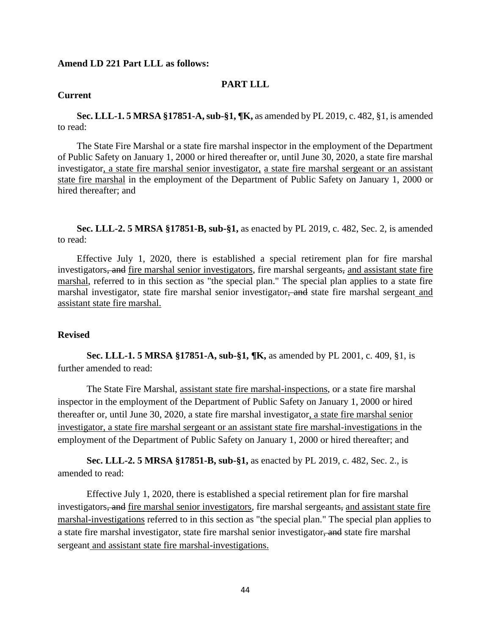### **Amend LD 221 Part LLL as follows:**

# **PART LLL**

## **Current**

**Sec. LLL-1. 5 MRSA §17851-A, sub-§1, ¶K,** as amended by PL 2019, c. 482, §1, is amended to read:

The State Fire Marshal or a state fire marshal inspector in the employment of the Department of Public Safety on January 1, 2000 or hired thereafter or, until June 30, 2020, a state fire marshal investigator, a state fire marshal senior investigator, a state fire marshal sergeant or an assistant state fire marshal in the employment of the Department of Public Safety on January 1, 2000 or hired thereafter; and

**Sec. LLL-2. 5 MRSA §17851-B, sub-§1,** as enacted by PL 2019, c. 482, Sec. 2, is amended to read:

Effective July 1, 2020, there is established a special retirement plan for fire marshal investigators, and fire marshal senior investigators, fire marshal sergeants, and assistant state fire marshal, referred to in this section as "the special plan." The special plan applies to a state fire marshal investigator, state fire marshal senior investigator, and state fire marshal sergeant and assistant state fire marshal.

### **Revised**

**Sec. LLL-1. 5 MRSA §17851-A, sub-§1, ¶K,** as amended by PL 2001, c. 409, §1, is further amended to read:

The State Fire Marshal, assistant state fire marshal-inspections, or a state fire marshal inspector in the employment of the Department of Public Safety on January 1, 2000 or hired thereafter or, until June 30, 2020, a state fire marshal investigator, a state fire marshal senior investigator, a state fire marshal sergeant or an assistant state fire marshal-investigations in the employment of the Department of Public Safety on January 1, 2000 or hired thereafter; and

**Sec. LLL-2. 5 MRSA §17851-B, sub-§1,** as enacted by PL 2019, c. 482, Sec. 2., is amended to read:

Effective July 1, 2020, there is established a special retirement plan for fire marshal investigators, and fire marshal senior investigators, fire marshal sergeants, and assistant state fire marshal-investigations referred to in this section as "the special plan." The special plan applies to a state fire marshal investigator, state fire marshal senior investigator, and state fire marshal sergeant and assistant state fire marshal-investigations.